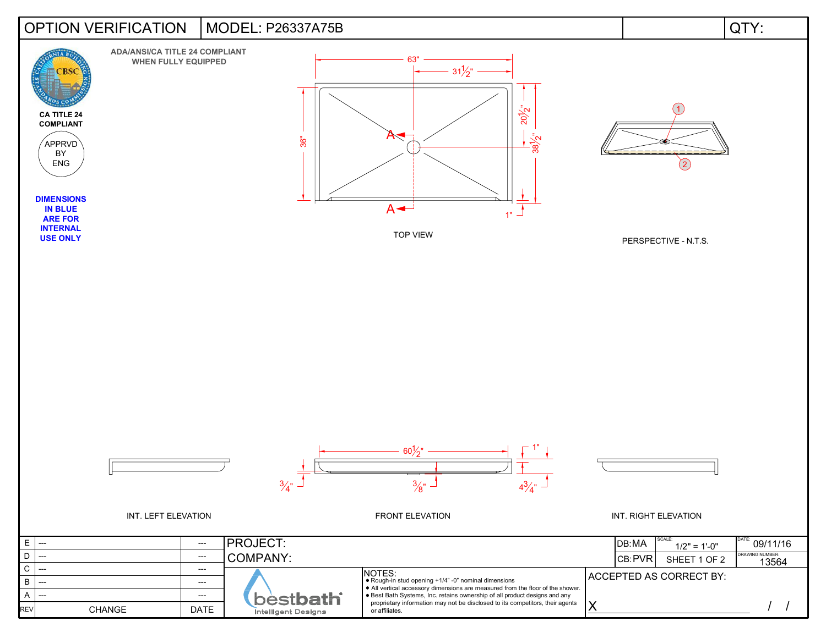